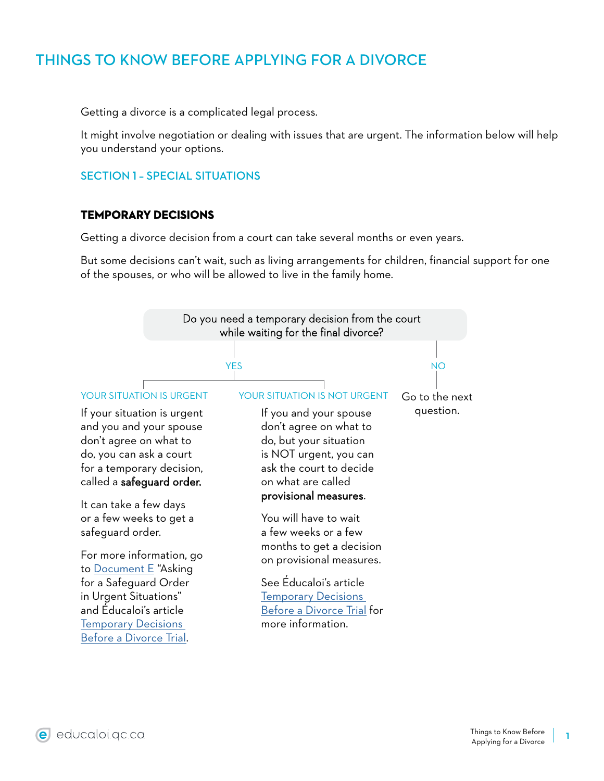# THINGS TO KNOW BEFORE APPLYING FOR A DIVORCE

Getting a divorce is a complicated legal process.

It might involve negotiation or dealing with issues that are urgent. The information below will help you understand your options.

## SECTION 1 – SPECIAL SITUATIONS

#### **TEMPORARY DECISIONS**

Getting a divorce decision from a court can take several months or even years.

But some decisions can't wait, such as living arrangements for children, financial support for one of the spouses, or who will be allowed to live in the family home.

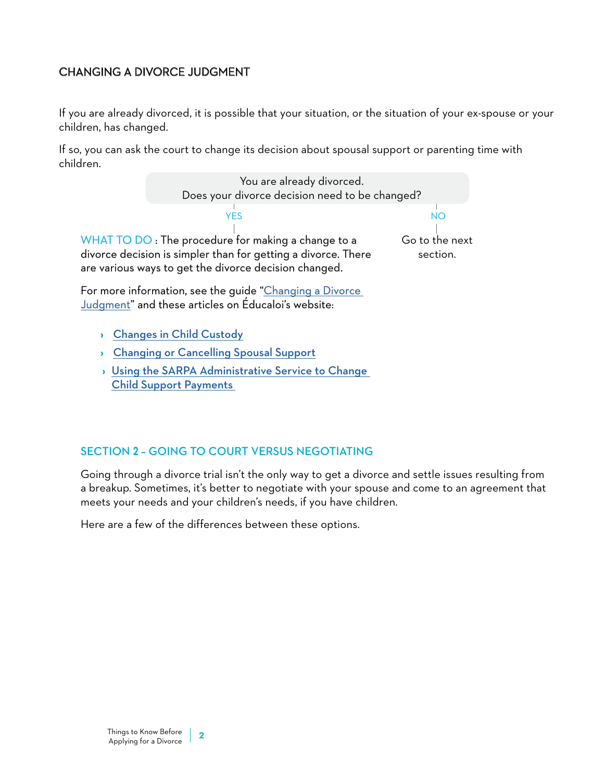## CHANGING A DIVORCE JUDGMENT

If you are already divorced, it is possible that your situation, or the situation of your ex-spouse or your children, has changed.

If so, you can ask the court to change its decision about spousal support or parenting time with children.



**›** [Using the SARPA Administrative Service to Change](https://educaloi.qc.ca/en/capsules/changing-child-support-using-the-sarpa-service/)  [Child Support Payments](https://educaloi.qc.ca/en/capsules/changing-child-support-using-the-sarpa-service/) 

#### SECTION 2 – GOING TO COURT VERSUS NEGOTIATING

Going through a divorce trial isn't the only way to get a divorce and settle issues resulting from a breakup. Sometimes, it's better to negotiate with your spouse and come to an agreement that meets your needs and your children's needs, if you have children.

Here are a few of the differences between these options.

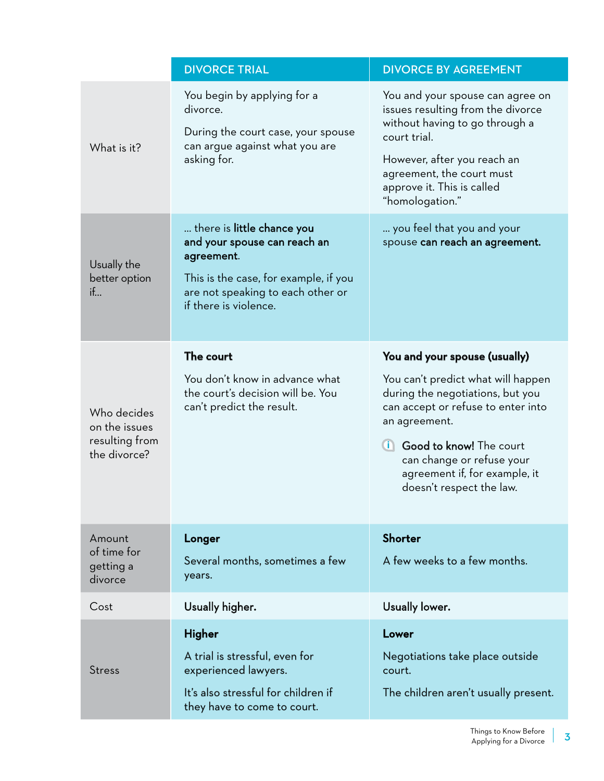|                                                                | <b>DIVORCE TRIAL</b>                                                                                                                                                            | <b>DIVORCE BY AGREEMENT</b>                                                                                                                                                                                                                                                         |
|----------------------------------------------------------------|---------------------------------------------------------------------------------------------------------------------------------------------------------------------------------|-------------------------------------------------------------------------------------------------------------------------------------------------------------------------------------------------------------------------------------------------------------------------------------|
| What is it?                                                    | You begin by applying for a<br>divorce.<br>During the court case, your spouse<br>can argue against what you are<br>asking for.                                                  | You and your spouse can agree on<br>issues resulting from the divorce<br>without having to go through a<br>court trial.<br>However, after you reach an<br>agreement, the court must<br>approve it. This is called<br>"homologation."                                                |
| Usually the<br>better option<br>if                             | there is little chance you<br>and your spouse can reach an<br>agreement.<br>This is the case, for example, if you<br>are not speaking to each other or<br>if there is violence. | you feel that you and your<br>spouse can reach an agreement.                                                                                                                                                                                                                        |
| Who decides<br>on the issues<br>resulting from<br>the divorce? | The court<br>You don't know in advance what<br>the court's decision will be. You<br>can't predict the result.                                                                   | You and your spouse (usually)<br>You can't predict what will happen<br>during the negotiations, but you<br>can accept or refuse to enter into<br>an agreement.<br>Good to know! The court<br>can change or refuse your<br>agreement if, for example, it<br>doesn't respect the law. |
| Amount<br>of time for<br>getting a<br>divorce                  | Longer<br>Several months, sometimes a few<br>years.                                                                                                                             | <b>Shorter</b><br>A few weeks to a few months.                                                                                                                                                                                                                                      |
| Cost                                                           | Usually higher.                                                                                                                                                                 | Usually lower.                                                                                                                                                                                                                                                                      |
| <b>Stress</b>                                                  | Higher<br>A trial is stressful, even for<br>experienced lawyers.<br>It's also stressful for children if<br>they have to come to court.                                          | Lower<br>Negotiations take place outside<br>court.<br>The children aren't usually present.                                                                                                                                                                                          |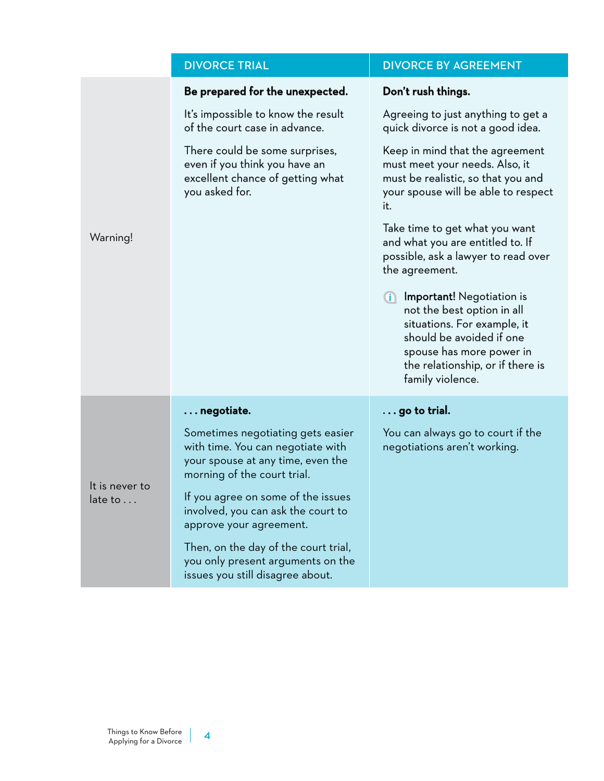## DIVORCE TRIAL **DIVORCE BY AGREEMENT**

|                           | Be prepared for the unexpected.                                                                                                            | Don't rush things.                                                                                                                                                                                              |
|---------------------------|--------------------------------------------------------------------------------------------------------------------------------------------|-----------------------------------------------------------------------------------------------------------------------------------------------------------------------------------------------------------------|
| Warning!                  | It's impossible to know the result<br>of the court case in advance.                                                                        | Agreeing to just anything to get a<br>quick divorce is not a good idea.                                                                                                                                         |
|                           | There could be some surprises,<br>even if you think you have an<br>excellent chance of getting what<br>you asked for.                      | Keep in mind that the agreement<br>must meet your needs. Also, it<br>must be realistic, so that you and<br>your spouse will be able to respect<br>it.                                                           |
|                           |                                                                                                                                            | Take time to get what you want<br>and what you are entitled to. If<br>possible, ask a lawyer to read over<br>the agreement.                                                                                     |
|                           |                                                                                                                                            | <b>i</b> Important! Negotiation is<br>not the best option in all<br>situations. For example, it<br>should be avoided if one<br>spouse has more power in<br>the relationship, or if there is<br>family violence. |
|                           | $\ldots$ negotiate.                                                                                                                        | $\ldots$ go to trial.                                                                                                                                                                                           |
| It is never to<br>late to | Sometimes negotiating gets easier<br>with time. You can negotiate with<br>your spouse at any time, even the<br>morning of the court trial. | You can always go to court if the<br>negotiations aren't working.                                                                                                                                               |
|                           | If you agree on some of the issues<br>involved, you can ask the court to<br>approve your agreement.                                        |                                                                                                                                                                                                                 |
|                           | Then, on the day of the court trial,<br>you only present arguments on the<br>issues you still disagree about.                              |                                                                                                                                                                                                                 |

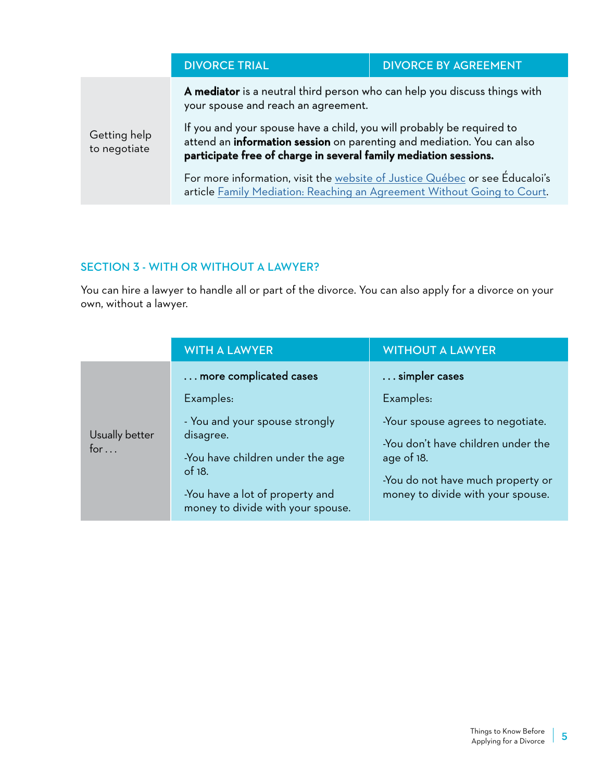|                              | <b>DIVORCE TRIAL</b>                                                                                                                                                                                                                                                                                                                    | <b>DIVORCE BY AGREEMENT</b> |
|------------------------------|-----------------------------------------------------------------------------------------------------------------------------------------------------------------------------------------------------------------------------------------------------------------------------------------------------------------------------------------|-----------------------------|
|                              | A mediator is a neutral third person who can help you discuss things with<br>your spouse and reach an agreement.<br>If you and your spouse have a child, you will probably be required to<br>attend an information session on parenting and mediation. You can also<br>participate free of charge in several family mediation sessions. |                             |
| Getting help<br>to negotiate |                                                                                                                                                                                                                                                                                                                                         |                             |
|                              | For more information, visit the website of Justice Québec or see Éducaloi's<br>article Family Mediation: Reaching an Agreement Without Going to Court.                                                                                                                                                                                  |                             |

### SECTION 3 - WITH OR WITHOUT A LAWYER?

You can hire a lawyer to handle all or part of the divorce. You can also apply for a divorce on your own, without a lawyer.

|                               | <b>WITH A LAWYER</b>                                                                                                                                                | <b>WITHOUT A LAWYER</b>                                                                                                                                         |
|-------------------------------|---------------------------------------------------------------------------------------------------------------------------------------------------------------------|-----------------------------------------------------------------------------------------------------------------------------------------------------------------|
|                               | more complicated cases                                                                                                                                              | simpler cases                                                                                                                                                   |
|                               | Examples:                                                                                                                                                           | Examples:                                                                                                                                                       |
| Usually better<br>for $\dots$ | - You and your spouse strongly<br>disagree.<br>-You have children under the age<br>of $18.$<br>-You have a lot of property and<br>money to divide with your spouse. | -Your spouse agrees to negotiate.<br>-You don't have children under the<br>age of 18.<br>-You do not have much property or<br>money to divide with your spouse. |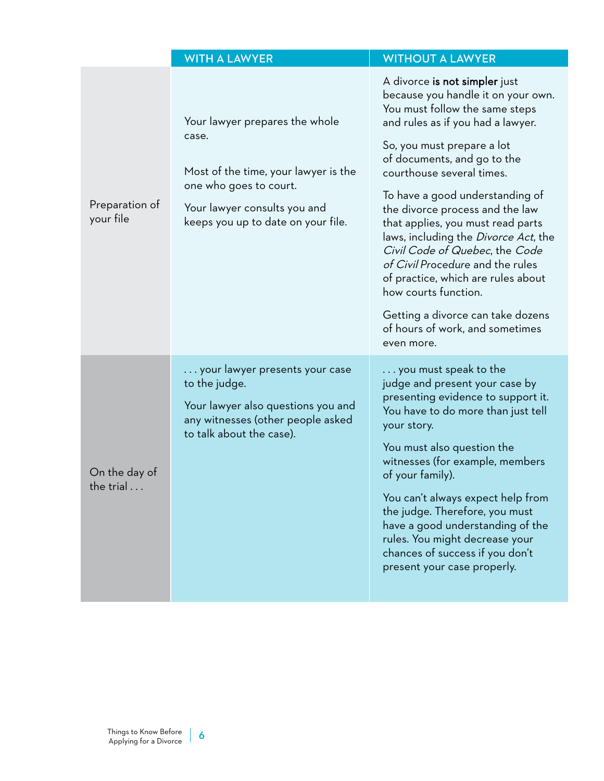|                                    | <b>WITH A LAWYER</b>                                                                                                                                                            | <b>WITHOUT A LAWYER</b>                                                                                                                                                                                                                                                                                                                                                                                                                                                                                                                                                                                                   |
|------------------------------------|---------------------------------------------------------------------------------------------------------------------------------------------------------------------------------|---------------------------------------------------------------------------------------------------------------------------------------------------------------------------------------------------------------------------------------------------------------------------------------------------------------------------------------------------------------------------------------------------------------------------------------------------------------------------------------------------------------------------------------------------------------------------------------------------------------------------|
| Preparation of<br>your file        | Your lawyer prepares the whole<br>case.<br>Most of the time, your lawyer is the<br>one who goes to court.<br>Your lawyer consults you and<br>keeps you up to date on your file. | A divorce is not simpler just<br>because you handle it on your own.<br>You must follow the same steps<br>and rules as if you had a lawyer.<br>So, you must prepare a lot<br>of documents, and go to the<br>courthouse several times.<br>To have a good understanding of<br>the divorce process and the law<br>that applies, you must read parts<br>laws, including the <i>Divorce Act</i> , the<br>Civil Code of Quebec, the Code<br>of Civil Procedure and the rules<br>of practice, which are rules about<br>how courts function.<br>Getting a divorce can take dozens<br>of hours of work, and sometimes<br>even more. |
| On the day of<br>the trial $\dots$ | your lawyer presents your case<br>to the judge.<br>Your lawyer also questions you and<br>any witnesses (other people asked<br>to talk about the case).                          | $\dots$ you must speak to the<br>judge and present your case by<br>presenting evidence to support it.<br>You have to do more than just tell<br>your story.<br>You must also question the<br>witnesses (for example, members<br>of your family).<br>You can't always expect help from<br>the judge. Therefore, you must<br>have a good understanding of the<br>rules. You might decrease your<br>chances of success if you don't<br>present your case properly.                                                                                                                                                            |

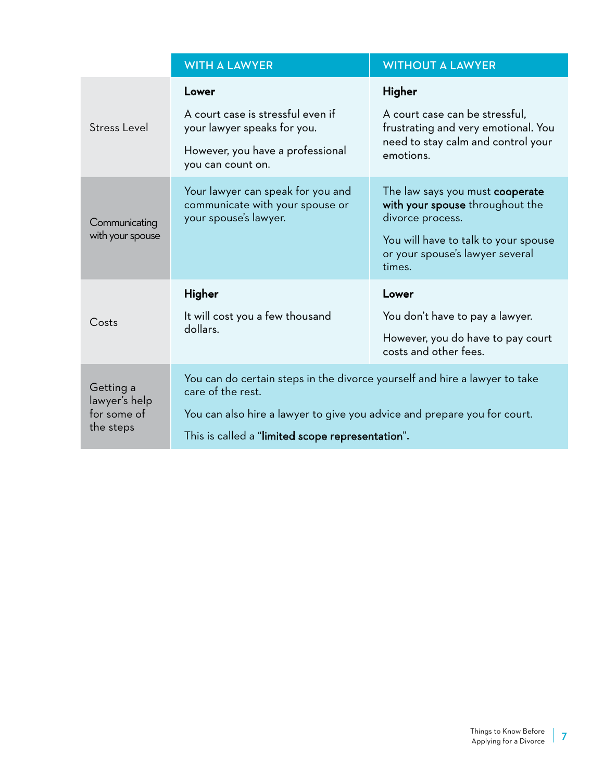|                                                        | <b>WITH A LAWYER</b>                                                                                                                                                                                                            | <b>WITHOUT A LAWYER</b>                                                                                                                                                     |
|--------------------------------------------------------|---------------------------------------------------------------------------------------------------------------------------------------------------------------------------------------------------------------------------------|-----------------------------------------------------------------------------------------------------------------------------------------------------------------------------|
| <b>Stress Level</b>                                    | Lower<br>A court case is stressful even if<br>your lawyer speaks for you.<br>However, you have a professional<br>you can count on.                                                                                              | Higher<br>A court case can be stressful,<br>frustrating and very emotional. You<br>need to stay calm and control your<br>emotions.                                          |
| Communicating<br>with your spouse                      | Your lawyer can speak for you and<br>communicate with your spouse or<br>your spouse's lawyer.                                                                                                                                   | The law says you must cooperate<br>with your spouse throughout the<br>divorce process.<br>You will have to talk to your spouse<br>or your spouse's lawyer several<br>times. |
| Costs                                                  | Higher<br>It will cost you a few thousand<br>dollars.                                                                                                                                                                           | Lower<br>You don't have to pay a lawyer.<br>However, you do have to pay court<br>costs and other fees.                                                                      |
| Getting a<br>lawyer's help<br>for some of<br>the steps | You can do certain steps in the divorce yourself and hire a lawyer to take<br>care of the rest.<br>You can also hire a lawyer to give you advice and prepare you for court.<br>This is called a "limited scope representation". |                                                                                                                                                                             |